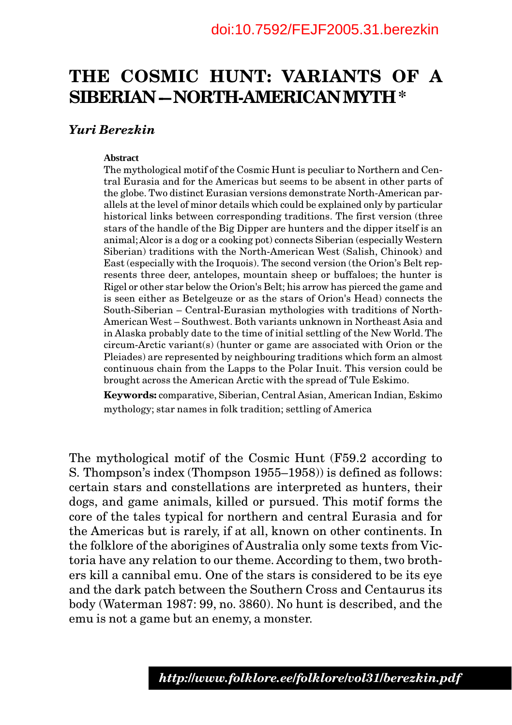# **THE COSMIC HUNT: VARIANTS OF A SIBERIAN -– NORTH-AMERICAN MYTH \***

#### *Yuri Berezkin*

#### **Abstract**

The mythological motif of the Cosmic Hunt is peculiar to Northern and Central Eurasia and for the Americas but seems to be absent in other parts of the globe. Two distinct Eurasian versions demonstrate North-American parallels at the level of minor details which could be explained only by particular historical links between corresponding traditions. The first version (three stars of the handle of the Big Dipper are hunters and the dipper itself is an animal; Alcor is a dog or a cooking pot) connects Siberian (especially Western Siberian) traditions with the North-American West (Salish, Chinook) and East (especially with the Iroquois). The second version (the Orion's Belt represents three deer, antelopes, mountain sheep or buffaloes; the hunter is Rigel or other star below the Orion's Belt; his arrow has pierced the game and is seen either as Betelgeuze or as the stars of Orion's Head) connects the South-Siberian – Central-Eurasian mythologies with traditions of North-American West – Southwest. Both variants unknown in Northeast Asia and in Alaska probably date to the time of initial settling of the New World. The circum-Arctic variant(s) (hunter or game are associated with Orion or the Pleiades) are represented by neighbouring traditions which form an almost continuous chain from the Lapps to the Polar Inuit. This version could be brought across the American Arctic with the spread of Tule Eskimo.

**Keywords:** comparative, Siberian, Central Asian, American Indian, Eskimo mythology; star names in folk tradition; settling of America

The mythological motif of the Cosmic Hunt (F59.2 according to S. Thompson's index (Thompson 1955–1958)) is defined as follows: certain stars and constellations are interpreted as hunters, their dogs, and game animals, killed or pursued. This motif forms the core of the tales typical for northern and central Eurasia and for the Americas but is rarely, if at all, known on other continents. In the folklore of the aborigines of Australia only some texts from Victoria have any relation to our theme. According to them, two brothers kill a cannibal emu. One of the stars is considered to be its eye and the dark patch between the Southern Cross and Centaurus its body (Waterman 1987: 99, no. 3860). No hunt is described, and the emu is not a game but an enemy, a monster.

79 *www.folklore.ee/folklore http://www.folklore.ee/folklore/vol31/berezkin.pdf*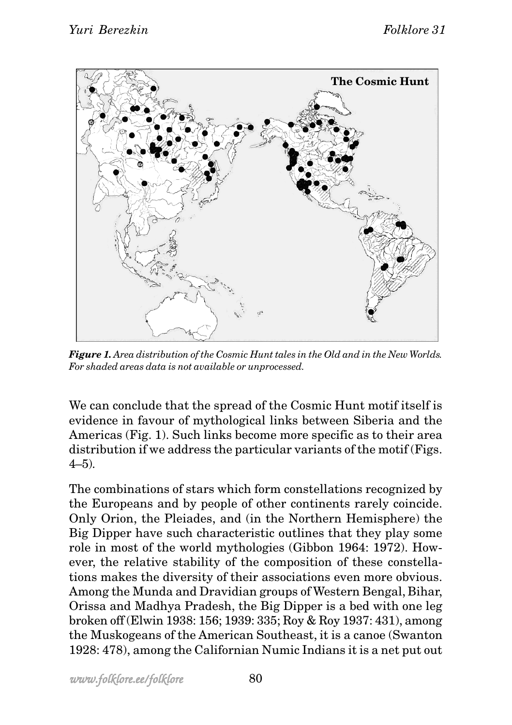

*Figure 1. Area distribution of the Cosmic Hunt tales in the Old and in the New Worlds. For shaded areas data is not available or unprocessed.*

We can conclude that the spread of the Cosmic Hunt motif itself is evidence in favour of mythological links between Siberia and the Americas (Fig. 1). Such links become more specific as to their area distribution if we address the particular variants of the motif (Figs. 4–5).

The combinations of stars which form constellations recognized by the Europeans and by people of other continents rarely coincide. Only Orion, the Pleiades, and (in the Northern Hemisphere) the Big Dipper have such characteristic outlines that they play some role in most of the world mythologies (Gibbon 1964: 1972). However, the relative stability of the composition of these constellations makes the diversity of their associations even more obvious. Among the Munda and Dravidian groups of Western Bengal, Bihar, Orissa and Madhya Pradesh, the Big Dipper is a bed with one leg broken off (Elwin 1938: 156; 1939: 335; Roy & Roy 1937: 431), among the Muskogeans of the American Southeast, it is a canoe (Swanton 1928: 478), among the Californian Numic Indians it is a net put out

*www.folklore.ee/folklore* 80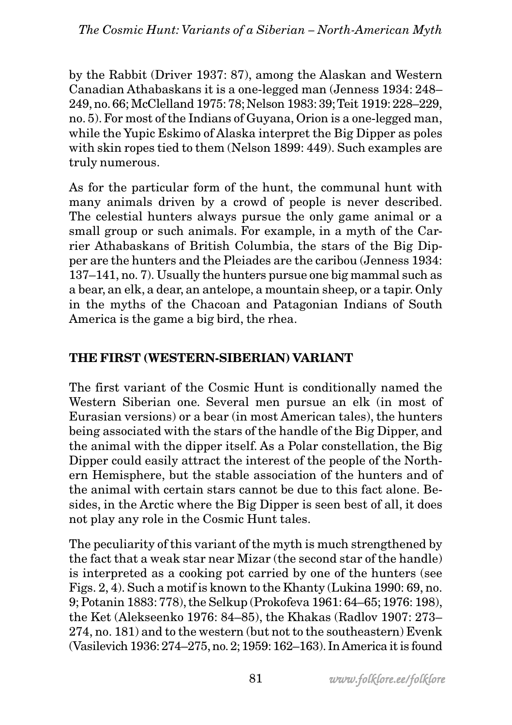by the Rabbit (Driver 1937: 87), among the Alaskan and Western Canadian Athabaskans it is a one-legged man (Jenness 1934: 248– 249, no. 66; McClelland 1975: 78; Nelson 1983: 39; Teit 1919: 228–229, no. 5). For most of the Indians of Guyana, Orion is a one-legged man, while the Yupic Eskimo of Alaska interpret the Big Dipper as poles with skin ropes tied to them (Nelson 1899: 449). Such examples are truly numerous.

As for the particular form of the hunt, the communal hunt with many animals driven by a crowd of people is never described. The celestial hunters always pursue the only game animal or a small group or such animals. For example, in a myth of the Carrier Athabaskans of British Columbia, the stars of the Big Dipper are the hunters and the Pleiades are the caribou (Jenness 1934: 137–141, no. 7). Usually the hunters pursue one big mammal such as a bear, an elk, a dear, an antelope, a mountain sheep, or a tapir. Only in the myths of the Chacoan and Patagonian Indians of South America is the game a big bird, the rhea.

# **THE FIRST (WESTERN-SIBERIAN) VARIANT**

The first variant of the Cosmic Hunt is conditionally named the Western Siberian one. Several men pursue an elk (in most of Eurasian versions) or a bear (in most American tales), the hunters being associated with the stars of the handle of the Big Dipper, and the animal with the dipper itself. As a Polar constellation, the Big Dipper could easily attract the interest of the people of the Northern Hemisphere, but the stable association of the hunters and of the animal with certain stars cannot be due to this fact alone. Besides, in the Arctic where the Big Dipper is seen best of all, it does not play any role in the Cosmic Hunt tales.

The peculiarity of this variant of the myth is much strengthened by the fact that a weak star near Mizar (the second star of the handle) is interpreted as a cooking pot carried by one of the hunters (see Figs. 2, 4). Such a motif is known to the Khanty (Lukina 1990: 69, no. 9; Potanin 1883: 778), the Selkup (Prokofeva 1961: 64–65; 1976: 198), the Ket (Alekseenko 1976: 84–85), the Khakas (Radlov 1907: 273– 274, no. 181) and to the western (but not to the southeastern) Evenk (Vasilevich 1936: 274–275, no. 2; 1959: 162–163). In America it is found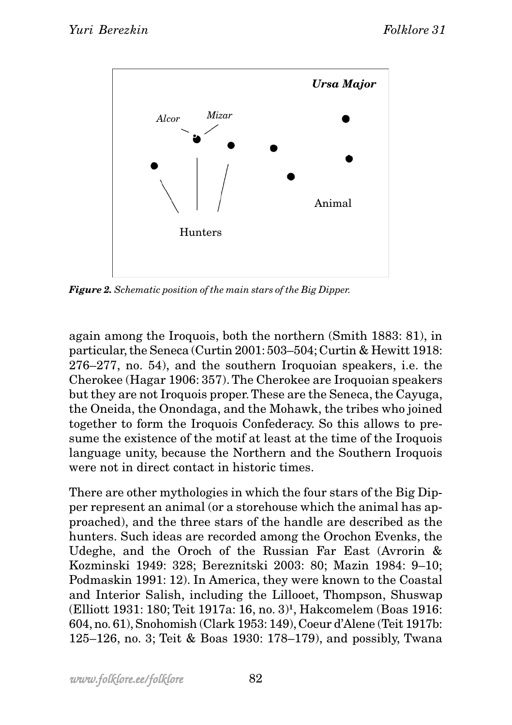

*Figure 2. Schematic position of the main stars of the Big Dipper.*

again among the Iroquois, both the northern (Smith 1883: 81), in particular, the Seneca (Curtin 2001: 503–504; Curtin & Hewitt 1918: 276–277, no. 54), and the southern Iroquoian speakers, i.e. the Cherokee (Hagar 1906: 357). The Cherokee are Iroquoian speakers but they are not Iroquois proper. These are the Seneca, the Cayuga, the Oneida, the Onondaga, and the Mohawk, the tribes who joined together to form the Iroquois Confederacy. So this allows to presume the existence of the motif at least at the time of the Iroquois language unity, because the Northern and the Southern Iroquois were not in direct contact in historic times.

There are other mythologies in which the four stars of the Big Dipper represent an animal (or a storehouse which the animal has approached), and the three stars of the handle are described as the hunters. Such ideas are recorded among the Orochon Evenks, the Udeghe, and the Oroch of the Russian Far East (Avrorin & Kozminski 1949: 328; Bereznitski 2003: 80; Mazin 1984: 9–10; Podmaskin 1991: 12). In America, they were known to the Coastal and Interior Salish, including the Lillooet, Thompson, Shuswap (Elliott 1931: 180; Teit 1917a: 16, no. 3)**<sup>1</sup>** , Hakcomelem (Boas 1916: 604, no. 61), Snohomish (Clark 1953: 149), Coeur d'Alene (Teit 1917b: 125–126, no. 3; Teit & Boas 1930: 178–179), and possibly, Twana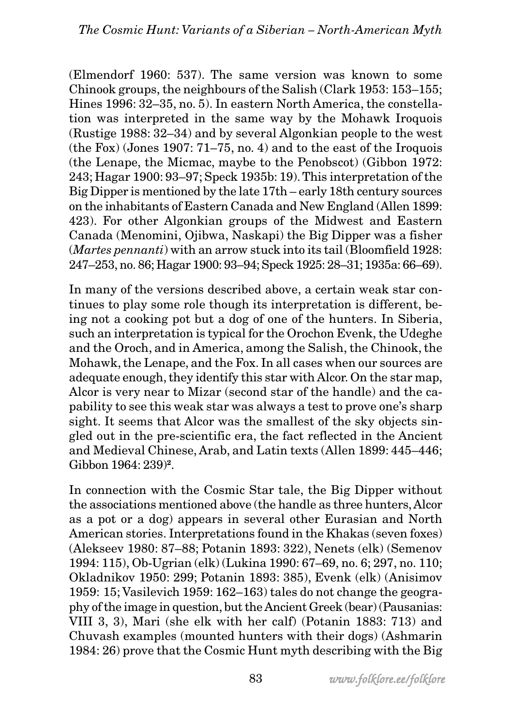(Elmendorf 1960: 537). The same version was known to some Chinook groups, the neighbours of the Salish (Clark 1953: 153–155; Hines 1996: 32–35, no. 5). In eastern North America, the constellation was interpreted in the same way by the Mohawk Iroquois (Rustige 1988: 32–34) and by several Algonkian people to the west (the Fox) (Jones 1907:  $71-75$ , no. 4) and to the east of the Iroquois (the Lenape, the Micmac, maybe to the Penobscot) (Gibbon 1972: 243; Hagar 1900: 93–97; Speck 1935b: 19). This interpretation of the Big Dipper is mentioned by the late 17th – early 18th century sources on the inhabitants of Eastern Canada and New England (Allen 1899: 423). For other Algonkian groups of the Midwest and Eastern Canada (Menomini, Ojibwa, Naskapi) the Big Dipper was a fisher (*Martes pennanti*) with an arrow stuck into its tail (Bloomfield 1928: 247–253, no. 86; Hagar 1900: 93–94; Speck 1925: 28–31; 1935a: 66–69).

In many of the versions described above, a certain weak star continues to play some role though its interpretation is different, being not a cooking pot but a dog of one of the hunters. In Siberia, such an interpretation is typical for the Orochon Evenk, the Udeghe and the Oroch, and in America, among the Salish, the Chinook, the Mohawk, the Lenape, and the Fox. In all cases when our sources are adequate enough, they identify this star with Alcor. On the star map, Alcor is very near to Mizar (second star of the handle) and the capability to see this weak star was always a test to prove one's sharp sight. It seems that Alcor was the smallest of the sky objects singled out in the pre-scientific era, the fact reflected in the Ancient and Medieval Chinese, Arab, and Latin texts (Allen 1899: 445–446; Gibbon 1964: 239)**<sup>2</sup>** .

In connection with the Cosmic Star tale, the Big Dipper without the associations mentioned above (the handle as three hunters, Alcor as a pot or a dog) appears in several other Eurasian and North American stories. Interpretations found in the Khakas (seven foxes) (Alekseev 1980: 87–88; Potanin 1893: 322), Nenets (elk) (Semenov 1994: 115), Ob-Ugrian (elk) (Lukina 1990: 67–69, no. 6; 297, no. 110; Okladnikov 1950: 299; Potanin 1893: 385), Evenk (elk) (Anisimov 1959: 15; Vasilevich 1959: 162–163) tales do not change the geography of the image in question, but the Ancient Greek (bear) (Pausanias: VIII 3, 3), Mari (she elk with her calf) (Potanin 1883: 713) and Chuvash examples (mounted hunters with their dogs) (Ashmarin 1984: 26) prove that the Cosmic Hunt myth describing with the Big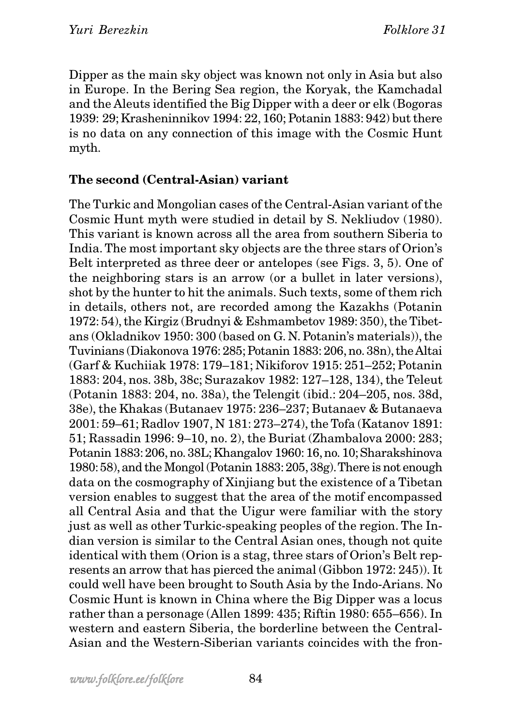Dipper as the main sky object was known not only in Asia but also in Europe. In the Bering Sea region, the Koryak, the Kamchadal and the Aleuts identified the Big Dipper with a deer or elk (Bogoras 1939: 29; Krasheninnikov 1994: 22, 160; Potanin 1883: 942) but there is no data on any connection of this image with the Cosmic Hunt myth.

#### **The second (Central-Asian) variant**

The Turkic and Mongolian cases of the Central-Asian variant of the Cosmic Hunt myth were studied in detail by S. Nekliudov (1980). This variant is known across all the area from southern Siberia to India. The most important sky objects are the three stars of Orion's Belt interpreted as three deer or antelopes (see Figs. 3, 5). One of the neighboring stars is an arrow (or a bullet in later versions), shot by the hunter to hit the animals. Such texts, some of them rich in details, others not, are recorded among the Kazakhs (Potanin 1972: 54), the Kirgiz (Brudnyi & Eshmambetov 1989: 350), the Tibetans (Okladnikov 1950: 300 (based on G. N. Potanin's materials)), the Tuvinians (Diakonova 1976: 285; Potanin 1883: 206, no. 38n), the Altai (Garf & Kuchiiak 1978: 179–181; Nikiforov 1915: 251–252; Potanin 1883: 204, nos. 38b, 38c; Surazakov 1982: 127–128, 134), the Teleut (Potanin 1883: 204, no. 38a), the Telengit (ibid.: 204–205, nos. 38d, 38e), the Khakas (Butanaev 1975: 236–237; Butanaev & Butanaeva 2001: 59–61; Radlov 1907, N 181: 273–274), the Tofa (Katanov 1891: 51; Rassadin 1996: 9–10, no. 2), the Buriat (Zhambalova 2000: 283; Potanin 1883: 206, no. 38L; Khangalov 1960: 16, no. 10; Sharakshinova 1980: 58), and the Mongol (Potanin 1883: 205, 38g). There is not enough data on the cosmography of Xinjiang but the existence of a Tibetan version enables to suggest that the area of the motif encompassed all Central Asia and that the Uigur were familiar with the story just as well as other Turkic-speaking peoples of the region. The Indian version is similar to the Central Asian ones, though not quite identical with them (Orion is a stag, three stars of Orion's Belt represents an arrow that has pierced the animal (Gibbon 1972: 245)). It could well have been brought to South Asia by the Indo-Arians. No Cosmic Hunt is known in China where the Big Dipper was a locus rather than a personage (Allen 1899: 435; Riftin 1980: 655–656). In western and eastern Siberia, the borderline between the Central-Asian and the Western-Siberian variants coincides with the fron-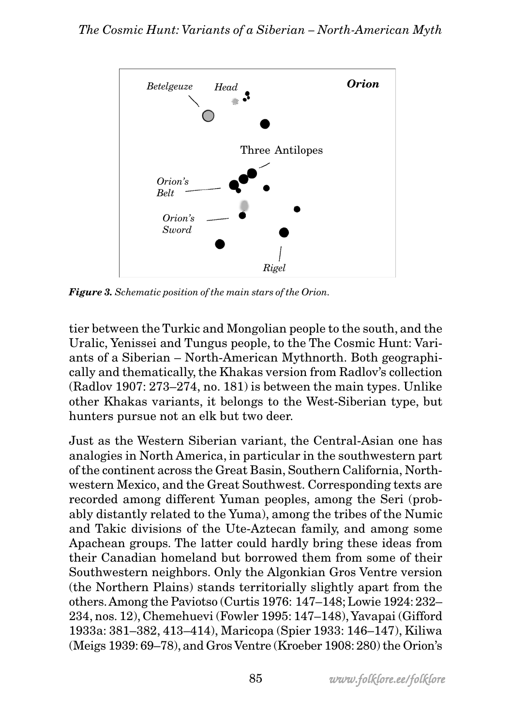

*Figure 3. Schematic position of the main stars of the Orion.*

tier between the Turkic and Mongolian people to the south, and the Uralic, Yenissei and Tungus people, to the The Cosmic Hunt: Variants of a Siberian – North-American Mythnorth. Both geographically and thematically, the Khakas version from Radlov's collection (Radlov 1907: 273–274, no. 181) is between the main types. Unlike other Khakas variants, it belongs to the West-Siberian type, but hunters pursue not an elk but two deer.

Just as the Western Siberian variant, the Central-Asian one has analogies in North America, in particular in the southwestern part of the continent across the Great Basin, Southern California, Northwestern Mexico, and the Great Southwest. Corresponding texts are recorded among different Yuman peoples, among the Seri (probably distantly related to the Yuma), among the tribes of the Numic and Takic divisions of the Ute-Aztecan family, and among some Apachean groups. The latter could hardly bring these ideas from their Canadian homeland but borrowed them from some of their Southwestern neighbors. Only the Algonkian Gros Ventre version (the Northern Plains) stands territorially slightly apart from the others. Among the Paviotso (Curtis 1976: 147–148; Lowie 1924: 232– 234, nos. 12), Chemehuevi (Fowler 1995: 147–148), Yavapai (Gifford 1933a: 381–382, 413–414), Maricopa (Spier 1933: 146–147), Kiliwa (Meigs 1939: 69–78), and Gros Ventre (Kroeber 1908: 280) the Orion's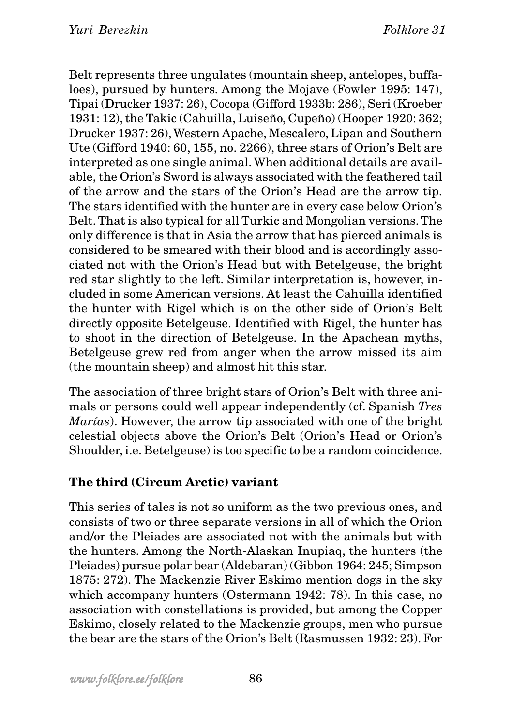Belt represents three ungulates (mountain sheep, antelopes, buffaloes), pursued by hunters. Among the Mojave (Fowler 1995: 147), Tipai (Drucker 1937: 26), Cocopa (Gifford 1933b: 286), Seri (Kroeber 1931: 12), the Takic (Cahuilla, Luiseño, Cupeño) (Hooper 1920: 362; Drucker 1937: 26), Western Apache, Mescalero, Lipan and Southern Ute (Gifford 1940: 60, 155, no. 2266), three stars of Orion's Belt are interpreted as one single animal. When additional details are available, the Orion's Sword is always associated with the feathered tail of the arrow and the stars of the Orion's Head are the arrow tip. The stars identified with the hunter are in every case below Orion's Belt. That is also typical for all Turkic and Mongolian versions. The only difference is that in Asia the arrow that has pierced animals is considered to be smeared with their blood and is accordingly associated not with the Orion's Head but with Betelgeuse, the bright red star slightly to the left. Similar interpretation is, however, included in some American versions. At least the Cahuilla identified the hunter with Rigel which is on the other side of Orion's Belt directly opposite Betelgeuse. Identified with Rigel, the hunter has to shoot in the direction of Betelgeuse. In the Apachean myths, Betelgeuse grew red from anger when the arrow missed its aim (the mountain sheep) and almost hit this star.

The association of three bright stars of Orion's Belt with three animals or persons could well appear independently (cf. Spanish *Tres Marías*). However, the arrow tip associated with one of the bright celestial objects above the Orion's Belt (Orion's Head or Orion's Shoulder, i.e. Betelgeuse) is too specific to be a random coincidence.

# **The third (Circum Arctic) variant**

This series of tales is not so uniform as the two previous ones, and consists of two or three separate versions in all of which the Orion and/or the Pleiades are associated not with the animals but with the hunters. Among the North-Alaskan Inupiaq, the hunters (the Pleiades) pursue polar bear (Aldebaran) (Gibbon 1964: 245; Simpson 1875: 272). The Mackenzie River Eskimo mention dogs in the sky which accompany hunters (Ostermann 1942: 78). In this case, no association with constellations is provided, but among the Copper Eskimo, closely related to the Mackenzie groups, men who pursue the bear are the stars of the Orion's Belt (Rasmussen 1932: 23). For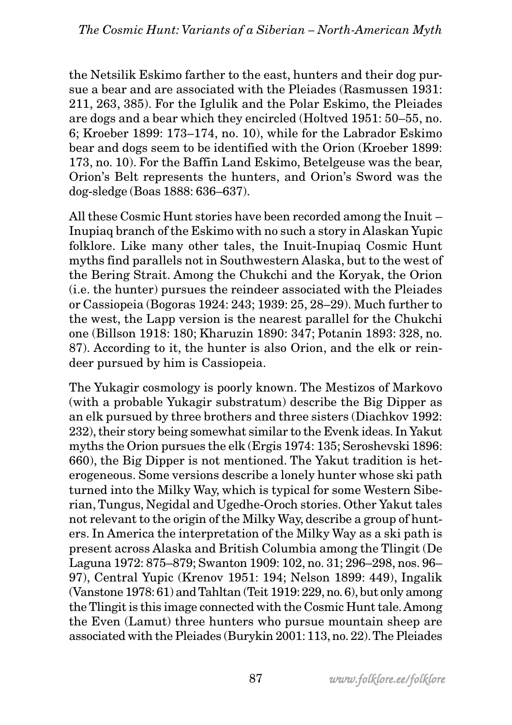the Netsilik Eskimo farther to the east, hunters and their dog pursue a bear and are associated with the Pleiades (Rasmussen 1931: 211, 263, 385). For the Iglulik and the Polar Eskimo, the Pleiades are dogs and a bear which they encircled (Holtved 1951: 50–55, no. 6; Kroeber 1899: 173–174, no. 10), while for the Labrador Eskimo bear and dogs seem to be identified with the Orion (Kroeber 1899: 173, no. 10). For the Baffin Land Eskimo, Betelgeuse was the bear, Orion's Belt represents the hunters, and Orion's Sword was the dog-sledge (Boas 1888: 636–637).

All these Cosmic Hunt stories have been recorded among the Inuit – Inupiaq branch of the Eskimo with no such a story in Alaskan Yupic folklore. Like many other tales, the Inuit-Inupiaq Cosmic Hunt myths find parallels not in Southwestern Alaska, but to the west of the Bering Strait. Among the Chukchi and the Koryak, the Orion (i.e. the hunter) pursues the reindeer associated with the Pleiades or Cassiopeia (Bogoras 1924: 243; 1939: 25, 28–29). Much further to the west, the Lapp version is the nearest parallel for the Chukchi one (Billson 1918: 180; Kharuzin 1890: 347; Potanin 1893: 328, no. 87). According to it, the hunter is also Orion, and the elk or reindeer pursued by him is Cassiopeia.

The Yukagir cosmology is poorly known. The Mestizos of Markovo (with a probable Yukagir substratum) describe the Big Dipper as an elk pursued by three brothers and three sisters (Diachkov 1992: 232), their story being somewhat similar to the Evenk ideas. In Yakut myths the Orion pursues the elk (Ergis 1974: 135; Seroshevski 1896: 660), the Big Dipper is not mentioned. The Yakut tradition is heterogeneous. Some versions describe a lonely hunter whose ski path turned into the Milky Way, which is typical for some Western Siberian, Tungus, Negidal and Ugedhe-Oroch stories. Other Yakut tales not relevant to the origin of the Milky Way, describe a group of hunters. In America the interpretation of the Milky Way as a ski path is present across Alaska and British Columbia among the Tlingit (De Laguna 1972: 875–879; Swanton 1909: 102, no. 31; 296–298, nos. 96– 97), Central Yupic (Krenov 1951: 194; Nelson 1899: 449), Ingalik (Vanstone 1978: 61) and Tahltan (Teit 1919: 229, no. 6), but only among the Tlingit is this image connected with the Cosmic Hunt tale. Among the Even (Lamut) three hunters who pursue mountain sheep are associated with the Pleiades (Burykin 2001: 113, no. 22). The Pleiades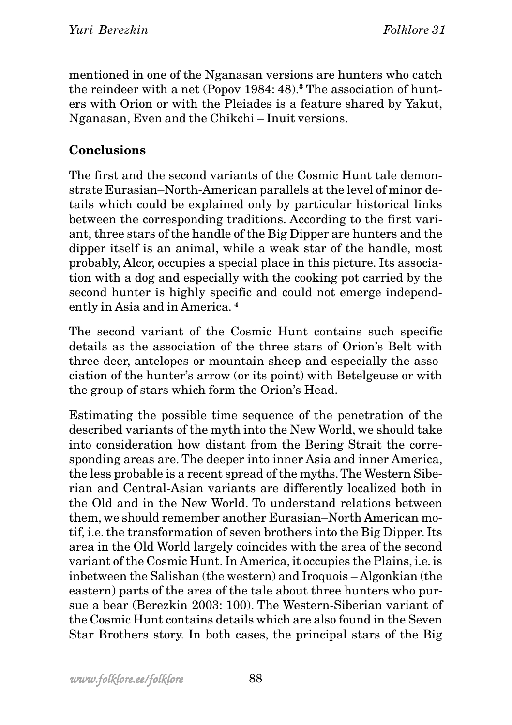mentioned in one of the Nganasan versions are hunters who catch the reindeer with a net (Popov 1984: 48).**<sup>3</sup>** The association of hunters with Orion or with the Pleiades is a feature shared by Yakut, Nganasan, Even and the Chikchi – Inuit versions.

# **Conclusions**

The first and the second variants of the Cosmic Hunt tale demonstrate Eurasian–North-American parallels at the level of minor details which could be explained only by particular historical links between the corresponding traditions. According to the first variant, three stars of the handle of the Big Dipper are hunters and the dipper itself is an animal, while a weak star of the handle, most probably, Alcor, occupies a special place in this picture. Its association with a dog and especially with the cooking pot carried by the second hunter is highly specific and could not emerge independently in Asia and in America. **<sup>4</sup>**

The second variant of the Cosmic Hunt contains such specific details as the association of the three stars of Orion's Belt with three deer, antelopes or mountain sheep and especially the association of the hunter's arrow (or its point) with Betelgeuse or with the group of stars which form the Orion's Head.

Estimating the possible time sequence of the penetration of the described variants of the myth into the New World, we should take into consideration how distant from the Bering Strait the corresponding areas are. The deeper into inner Asia and inner America, the less probable is a recent spread of the myths. The Western Siberian and Central-Asian variants are differently localized both in the Old and in the New World. To understand relations between them, we should remember another Eurasian–North American motif, i.e. the transformation of seven brothers into the Big Dipper. Its area in the Old World largely coincides with the area of the second variant of the Cosmic Hunt. In America, it occupies the Plains, i.e. is inbetween the Salishan (the western) and Iroquois – Algonkian (the eastern) parts of the area of the tale about three hunters who pursue a bear (Berezkin 2003: 100). The Western-Siberian variant of the Cosmic Hunt contains details which are also found in the Seven Star Brothers story. In both cases, the principal stars of the Big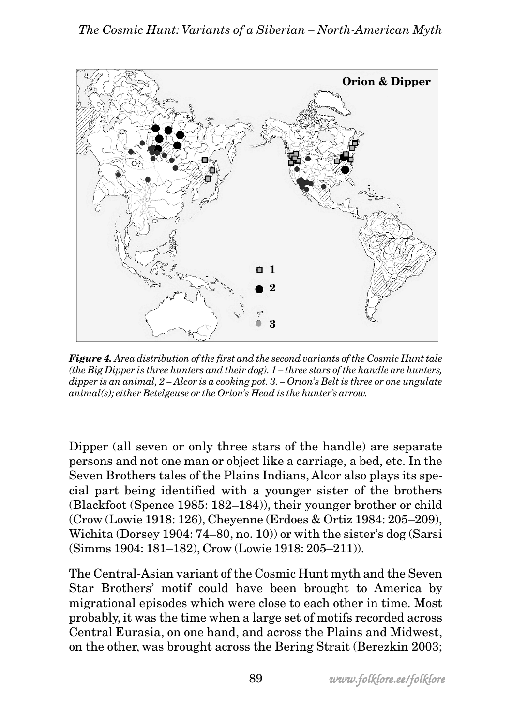

*Figure 4. Area distribution of the first and the second variants of the Cosmic Hunt tale (the Big Dipper is three hunters and their dog). 1 – three stars of the handle are hunters, dipper is an animal, 2 – Alcor is a cooking pot. 3. – Orion's Belt is three or one ungulate animal(s); either Betelgeuse or the Orion's Head is the hunter's arrow.*

Dipper (all seven or only three stars of the handle) are separate persons and not one man or object like a carriage, a bed, etc. In the Seven Brothers tales of the Plains Indians, Alcor also plays its special part being identified with a younger sister of the brothers (Blackfoot (Spence 1985: 182–184)), their younger brother or child (Crow (Lowie 1918: 126), Cheyenne (Erdoes & Ortiz 1984: 205–209), Wichita (Dorsey 1904: 74–80, no. 10)) or with the sister's dog (Sarsi (Simms 1904: 181–182), Crow (Lowie 1918: 205–211)).

The Central-Asian variant of the Cosmic Hunt myth and the Seven Star Brothers' motif could have been brought to America by migrational episodes which were close to each other in time. Most probably, it was the time when a large set of motifs recorded across Central Eurasia, on one hand, and across the Plains and Midwest, on the other, was brought across the Bering Strait (Berezkin 2003;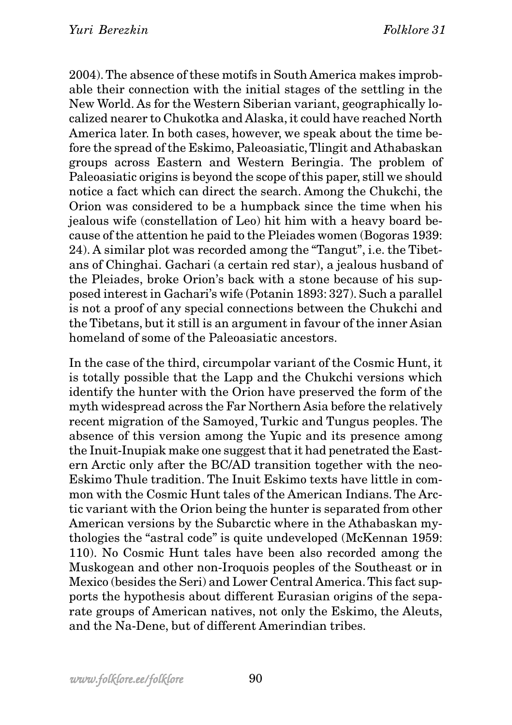2004). The absence of these motifs in South America makes improbable their connection with the initial stages of the settling in the New World. As for the Western Siberian variant, geographically localized nearer to Chukotka and Alaska, it could have reached North America later. In both cases, however, we speak about the time before the spread of the Eskimo, Paleoasiatic, Tlingit and Athabaskan groups across Eastern and Western Beringia. The problem of Paleoasiatic origins is beyond the scope of this paper, still we should notice a fact which can direct the search. Among the Chukchi, the Orion was considered to be a humpback since the time when his jealous wife (constellation of Leo) hit him with a heavy board because of the attention he paid to the Pleiades women (Bogoras 1939: 24). A similar plot was recorded among the "Tangut", i.e. the Tibetans of Chinghai. Gachari (a certain red star), a jealous husband of the Pleiades, broke Orion's back with a stone because of his supposed interest in Gachari's wife (Potanin 1893: 327). Such a parallel is not a proof of any special connections between the Chukchi and the Tibetans, but it still is an argument in favour of the inner Asian homeland of some of the Paleoasiatic ancestors.

In the case of the third, circumpolar variant of the Cosmic Hunt, it is totally possible that the Lapp and the Chukchi versions which identify the hunter with the Orion have preserved the form of the myth widespread across the Far Northern Asia before the relatively recent migration of the Samoyed, Turkic and Tungus peoples. The absence of this version among the Yupic and its presence among the Inuit-Inupiak make one suggest that it had penetrated the Eastern Arctic only after the BC/AD transition together with the neo-Eskimo Thule tradition. The Inuit Eskimo texts have little in common with the Cosmic Hunt tales of the American Indians. The Arctic variant with the Orion being the hunter is separated from other American versions by the Subarctic where in the Athabaskan mythologies the "astral code" is quite undeveloped (McKennan 1959: 110). No Cosmic Hunt tales have been also recorded among the Muskogean and other non-Iroquois peoples of the Southeast or in Mexico (besides the Seri) and Lower Central America. This fact supports the hypothesis about different Eurasian origins of the separate groups of American natives, not only the Eskimo, the Aleuts, and the Na-Dene, but of different Amerindian tribes.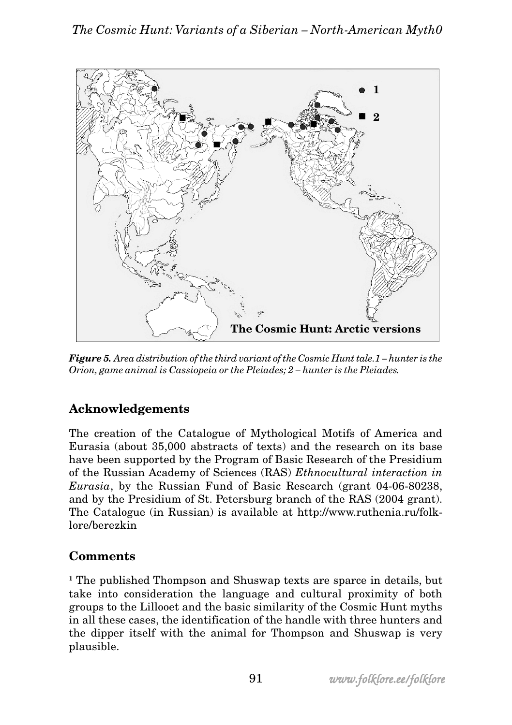

*Figure 5. Area distribution of the third variant of the Cosmic Hunt tale.1 – hunter is the Orion, game animal is Cassiopeia or the Pleiades; 2 – hunter is the Pleiades.*

## **Acknowledgements**

The creation of the Catalogue of Mythological Motifs of America and Eurasia (about 35,000 abstracts of texts) and the research on its base have been supported by the Program of Basic Research of the Presidium of the Russian Academy of Sciences (RAS) *Ethnocultural interaction in Eurasia*, by the Russian Fund of Basic Research (grant 04-06-80238, and by the Presidium of St. Petersburg branch of the RAS (2004 grant). The Catalogue (in Russian) is available at http://www.ruthenia.ru/folklore/berezkin

### **Comments**

**<sup>1</sup>** The published Thompson and Shuswap texts are sparce in details, but take into consideration the language and cultural proximity of both groups to the Lillooet and the basic similarity of the Cosmic Hunt myths in all these cases, the identification of the handle with three hunters and the dipper itself with the animal for Thompson and Shuswap is very plausible.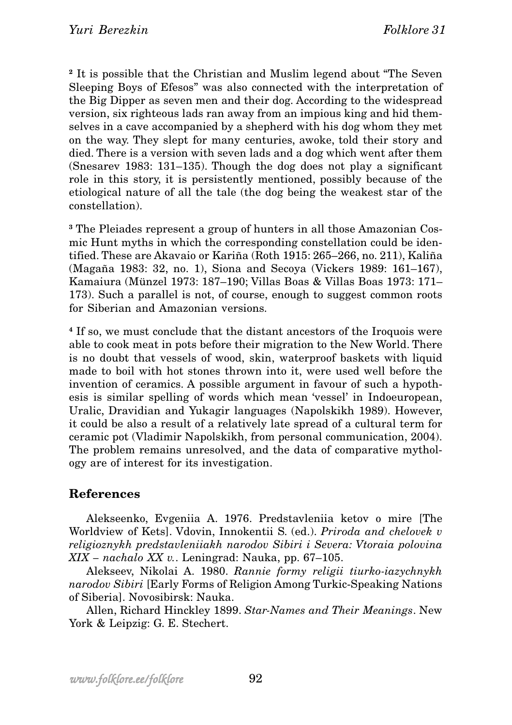**<sup>2</sup>** It is possible that the Christian and Muslim legend about "The Seven Sleeping Boys of Efesos" was also connected with the interpretation of the Big Dipper as seven men and their dog. According to the widespread version, six righteous lads ran away from an impious king and hid themselves in a cave accompanied by a shepherd with his dog whom they met on the way. They slept for many centuries, awoke, told their story and died. There is a version with seven lads and a dog which went after them (Snesarev 1983: 131–135). Though the dog does not play a significant role in this story, it is persistently mentioned, possibly because of the etiological nature of all the tale (the dog being the weakest star of the constellation).

**3** The Pleiades represent a group of hunters in all those Amazonian Cosmic Hunt myths in which the corresponding constellation could be identified. These are Akavaio or Kariña (Roth 1915: 265–266, no. 211), Kaliña (Magaña 1983: 32, no. 1), Siona and Secoya (Vickers 1989: 161–167), Kamaiura (Münzel 1973: 187–190; Villas Boas & Villas Boas 1973: 171– 173). Such a parallel is not, of course, enough to suggest common roots for Siberian and Amazonian versions.

**<sup>4</sup>** If so, we must conclude that the distant ancestors of the Iroquois were able to cook meat in pots before their migration to the New World. There is no doubt that vessels of wood, skin, waterproof baskets with liquid made to boil with hot stones thrown into it, were used well before the invention of ceramics. A possible argument in favour of such a hypothesis is similar spelling of words which mean 'vessel' in Indoeuropean, Uralic, Dravidian and Yukagir languages (Napolskikh 1989). However, it could be also a result of a relatively late spread of a cultural term for ceramic pot (Vladimir Napolskikh, from personal communication, 2004). The problem remains unresolved, and the data of comparative mythology are of interest for its investigation.

#### **References**

Alekseenko, Evgeniia A. 1976. Predstavleniia ketov o mire [The Worldview of Kets]. Vdovin, Innokentii S. (ed.). *Priroda and chelovek v religioznykh predstavleniiakh narodov Sibiri i Severa: Vtoraia polovina XIX – nachalo XX v.*. Leningrad: Nauka, pp. 67–105.

Alekseev, Nikolai A. 1980. *Rannie formy religii tiurko-iazychnykh narodov Sibiri* [Early Forms of Religion Among Turkic-Speaking Nations of Siberia]. Novosibirsk: Nauka.

Allen, Richard Hinckley 1899. *Star-Names and Their Meanings*. New York & Leipzig: G. E. Stechert.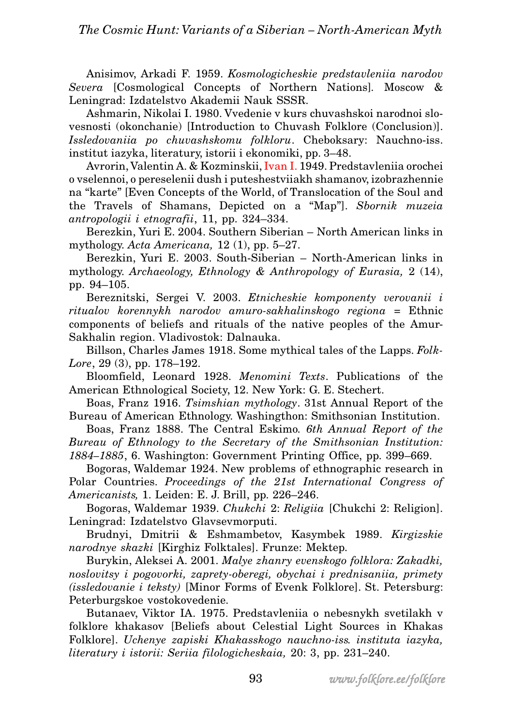Anisimov, Arkadi F. 1959. *Kosmologicheskie predstavleniia narodov Severa* [Cosmological Concepts of Northern Nations]*.* Moscow & Leningrad: Izdatelstvo Akademii Nauk SSSR.

Ashmarin, Nikolai I. 1980. Vvedenie v kurs chuvashskoi narodnoi slovesnosti (okonchanie) [Introduction to Chuvash Folklore (Conclusion)]. *Issledovaniia po chuvashskomu folkloru*. Cheboksary: Nauchno-iss. institut iazyka, literatury, istorii i ekonomiki, pp. 3–48.

Avrorin, Valentin A. & Kozminskii, Ivan I. 1949. Predstavleniia orochei o vselennoi, o pereselenii dush i puteshestviiakh shamanov, izobrazhennie na "karte" [Even Concepts of the World, of Translocation of the Soul and the Travels of Shamans, Depicted on a "Map"]. *Sbornik muzeia antropologii i etnografii*, 11, pp. 324–334.

Berezkin, Yuri E. 2004. Southern Siberian – North American links in mythology. *Acta Americana,* 12 (1), pp. 5–27.

Berezkin, Yuri E. 2003. South-Siberian – North-American links in mythology. *Archaeology, Ethnology & Anthropology of Eurasia,* 2 (14), pp. 94–105.

Bereznitski, Sergei V. 2003. *Etnicheskie komponenty verovanii i ritualov korennykh narodov amuro-sakhalinskogo regiona =* Ethnic components of beliefs and rituals of the native peoples of the Amur-Sakhalin region. Vladivostok: Dalnauka.

Billson, Charles James 1918. Some mythical tales of the Lapps. *Folk-Lore*, 29 (3), pp. 178–192.

Bloomfield, Leonard 1928. *Menomini Texts*. Publications of the American Ethnological Society, 12. New York: G. E. Stechert.

Boas, Franz 1916. *Tsimshian mythology*. 31st Annual Report of the Bureau of American Ethnology. Washingthon: Smithsonian Institution.

Boas, Franz 1888. The Central Eskimo*. 6th Annual Report of the Bureau of Ethnology to the Secretary of the Smithsonian Institution: 1884–1885*, 6. Washington: Government Printing Office, pp. 399–669.

Bogoras, Waldemar 1924. New problems of ethnographic research in Polar Countries. *Proceedings of the 21st International Congress of Americanists,* 1. Leiden: E. J. Brill, pp. 226–246.

Bogoras, Waldemar 1939. *Chukchi* 2: *Religiia* [Chukchi 2: Religion]. Leningrad: Izdatelstvo Glavsevmorputi.

Brudnyi, Dmitrii & Eshmambetov, Kasymbek 1989. *Kirgizskie narodnye skazki* [Kirghiz Folktales]. Frunze: Mektep.

Burykin, Aleksei A. 2001. *Malye zhanry evenskogo folklora: Zakadki, noslovitsy i pogovorki, zaprety-oberegi, obychai i prednisaniia, primety (issledovanie i teksty)* [Minor Forms of Evenk Folklore]. St. Petersburg: Peterburgskoe vostokovedenie.

Butanaev, Viktor IA. 1975. Predstavleniia o nebesnykh svetilakh v folklore khakasov [Beliefs about Celestial Light Sources in Khakas Folklore]. *Uchenye zapiski Khakasskogo nauchno-iss. instituta iazyka, literatury i istorii: Seriia filologicheskaia,* 20: 3, pp. 231–240.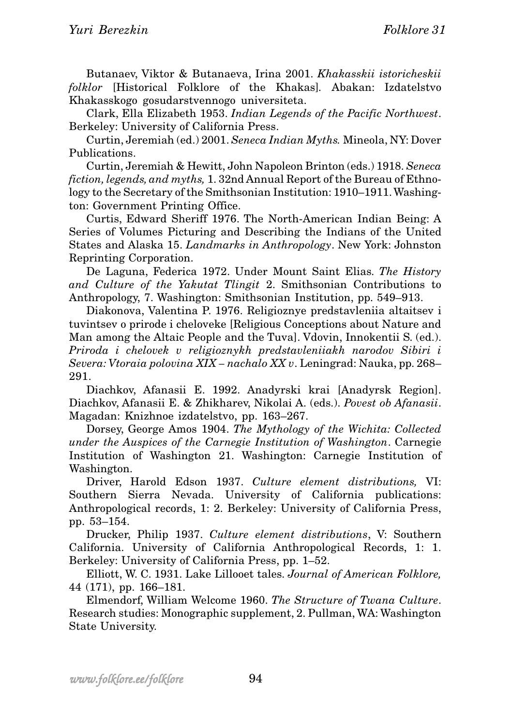Butanaev, Viktor & Butanaeva, Irina 2001. *Khakasskii istoricheskii folklor* [Historical Folklore of the Khakas]*.* Abakan: Izdatelstvo Khakasskogo gosudarstvennogo universiteta.

Clark, Ella Elizabeth 1953. *Indian Legends of the Pacific Northwest*. Berkeley: University of California Press.

Curtin, Jeremiah (ed.) 2001. *Seneca Indian Myths.* Mineola, NY: Dover Publications.

Curtin, Jeremiah & Hewitt, John Napoleon Brinton (eds.) 1918. *Seneca fiction, legends, and myths,* 1. 32nd Annual Report of the Bureau of Ethnology to the Secretary of the Smithsonian Institution: 1910–1911. Washington: Government Printing Office.

Curtis, Edward Sheriff 1976. The North-American Indian Being: A Series of Volumes Picturing and Describing the Indians of the United States and Alaska 15. *Landmarks in Anthropology*. New York: Johnston Reprinting Corporation.

De Laguna, Federica 1972. Under Mount Saint Elias. *The History and Culture of the Yakutat Tlingit* 2. Smithsonian Contributions to Anthropology, 7. Washington: Smithsonian Institution, pp. 549–913.

Diakonova, Valentina P. 1976. Religioznye predstavleniia altaitsev i tuvintsev o prirode i cheloveke [Religious Conceptions about Nature and Man among the Altaic People and the Tuva]. Vdovin, Innokentii S. (ed.). *Priroda i chelovek v religioznykh predstavleniiakh narodov Sibiri i Severa: Vtoraia polovina XIX – nachalo XX v*. Leningrad: Nauka, pp. 268– 291.

Diachkov, Afanasii E. 1992. Anadyrski krai [Anadyrsk Region]. Diachkov, Afanasii E. & Zhikharev, Nikolai A. (eds.). *Povest ob Afanasii*. Magadan: Knizhnoe izdatelstvo, pp. 163–267.

Dorsey, George Amos 1904. *The Mythology of the Wichita: Collected under the Auspices of the Carnegie Institution of Washington*. Carnegie Institution of Washington 21. Washington: Carnegie Institution of Washington.

Driver, Harold Edson 1937. *Culture element distributions,* VI: Southern Sierra Nevada. University of California publications: Anthropological records, 1: 2. Berkeley: University of California Press, pp. 53–154.

Drucker, Philip 1937. *Culture element distributions*, V: Southern California. University of California Anthropological Records, 1: 1. Berkeley: University of California Press, pp. 1–52.

Elliott, W. C. 1931. Lake Lillooet tales. *Journal of American Folklore,* 44 (171), pp. 166–181.

Elmendorf, William Welcome 1960. *The Structure of Twana Culture*. Research studies: Monographic supplement, 2. Pullman, WA: Washington State University.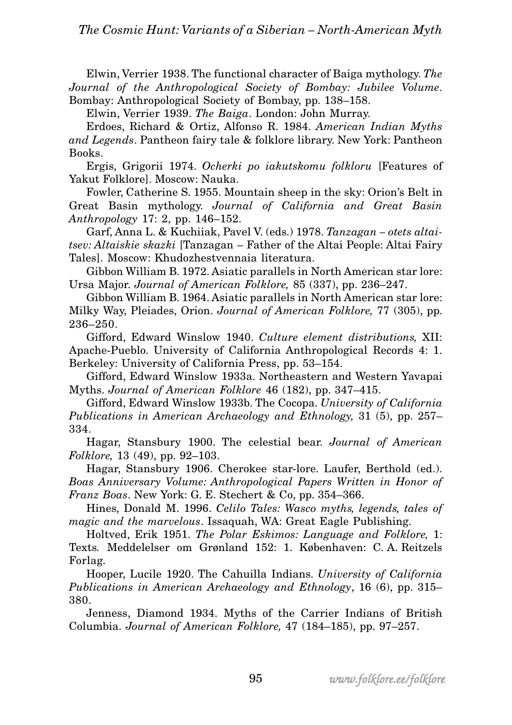Elwin, Verrier 1938. The functional character of Baiga mythology. *The Journal of the Anthropological Society of Bombay: Jubilee Volume*. Bombay: Anthropological Society of Bombay, pp. 138–158.

Elwin, Verrier 1939. *The Baiga*. London: John Murray.

Erdoes, Richard & Ortiz, Alfonso R. 1984. *American Indian Myths and Legends*. Pantheon fairy tale & folklore library. New York: Pantheon Books.

Ergis, Grigorii 1974. *Ocherki po iakutskomu folkloru* [Features of Yakut Folklore]. Moscow: Nauka.

Fowler, Catherine S. 1955. Mountain sheep in the sky: Orion's Belt in Great Basin mythology. *Journal of California and Great Basin Anthropology* 17: 2, pp. 146–152.

Garf, Anna L. & Kuchiiak, Pavel V. (eds.) 1978. *Tanzagan – otets altaitsev: Altaiskie skazki* [Tanzagan – Father of the Altai People: Altai Fairy Tales]. Moscow: Khudozhestvennaia literatura.

Gibbon William B. 1972. Asiatic parallels in North American star lore: Ursa Major. *Journal of American Folklore,* 85 (337), pp. 236–247.

Gibbon William B. 1964. Asiatic parallels in North American star lore: Milky Way, Pleiades, Orion. *Journal of American Folklore,* 77 (305), pp. 236–250.

Gifford, Edward Winslow 1940. *Culture element distributions,* XII: Apache-Pueblo. University of California Anthropological Records 4: 1. Berkeley: University of California Press, pp. 53–154.

Gifford, Edward Winslow 1933a. Northeastern and Western Yavapai Myths. *Journal of American Folklore* 46 (182), pp. 347–415.

Gifford, Edward Winslow 1933b. The Cocopa. *University of California Publications in American Archaeology and Ethnology,* 31 (5), pp. 257– 334.

Hagar, Stansbury 1900. The celestial bear. *Journal of American Folklore,* 13 (49), pp. 92–103.

Hagar, Stansbury 1906. Cherokee star-lore. Laufer, Berthold (ed.). *Boas Anniversary Volume: Anthropological Papers Written in Honor of Franz Boas*. New York: G. E. Stechert & Co, pp. 354–366.

Hines, Donald M. 1996. *Celilo Tales: Wasco myths, legends, tales of magic and the marvelous*. Issaquah, WA: Great Eagle Publishing.

Holtved, Erik 1951. *The Polar Eskimos: Language and Folklore,* 1: Texts*.* Meddelelser om Grønland 152: 1. Københaven: C. A. Reitzels Forlag.

Hooper, Lucile 1920. The Cahuilla Indians. *University of California Publications in American Archaeology and Ethnology*, 16 (6), pp. 315– 380.

Jenness, Diamond 1934. Myths of the Carrier Indians of British Columbia. *Journal of American Folklore,* 47 (184–185), pp. 97–257.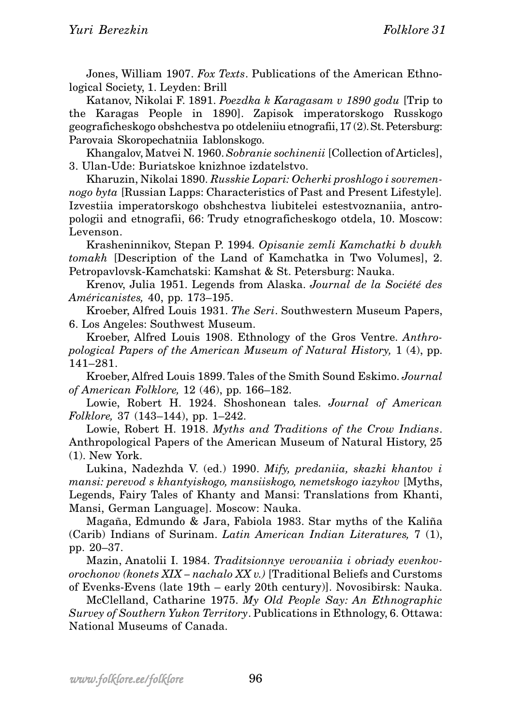Jones, William 1907. *Fox Texts*. Publications of the American Ethnological Society, 1. Leyden: Brill

Katanov, Nikolai F. 1891. *Poezdka k Karagasam v 1890 godu* [Trip to the Karagas People in 1890]. Zapisok imperatorskogo Russkogo geograficheskogo obshchestva po otdeleniiu etnografii, 17 (2). St. Petersburg: Parovaia Skoropechatniia Iablonskogo.

Khangalov, Matvei N. 1960. *Sobranie sochinenii* [Collection of Articles], 3. Ulan-Ude: Buriatskoe knizhnoe izdatelstvo.

Kharuzin, Nikolai 1890. *Russkie Lopari: Ocherki proshlogo i sovremennogo byta* [Russian Lapps: Characteristics of Past and Present Lifestyle]*.* Izvestiia imperatorskogo obshchestva liubitelei estestvoznaniia, antropologii and etnografii, 66: Trudy etnograficheskogo otdela, 10. Moscow: Levenson.

Krasheninnikov, Stepan P. 1994*. Opisanie zemli Kamchatki b dvukh tomakh* [Description of the Land of Kamchatka in Two Volumes], 2. Petropavlovsk-Kamchatski: Kamshat & St. Petersburg: Nauka.

Krenov, Julia 1951. Legends from Alaska. *Journal de la Société des Américanistes,* 40, pp. 173–195.

Kroeber, Alfred Louis 1931. *The Seri*. Southwestern Museum Papers, 6. Los Angeles: Southwest Museum.

Kroeber, Alfred Louis 1908. Ethnology of the Gros Ventre. *Anthropological Papers of the American Museum of Natural History,* 1 (4), pp. 141–281.

Kroeber, Alfred Louis 1899. Tales of the Smith Sound Eskimo. *Journal of American Folklore,* 12 (46), pp. 166–182.

Lowie, Robert H. 1924. Shoshonean tales. *Journal of American Folklore,* 37 (143–144), pp. 1–242.

Lowie, Robert H. 1918. *Myths and Traditions of the Crow Indians*. Anthropological Papers of the American Museum of Natural History, 25 (1). New York.

Lukina, Nadezhda V. (ed.) 1990. *Mify, predaniia, skazki khantov i mansi: perevod s khantyiskogo, mansiiskogo, nemetskogo iazykov* [Myths, Legends, Fairy Tales of Khanty and Mansi: Translations from Khanti, Mansi, German Language]. Moscow: Nauka.

Magaña, Edmundo & Jara, Fabiola 1983. Star myths of the Kaliña (Carib) Indians of Surinam. *Latin American Indian Literatures,* 7 (1), pp. 20–37.

Mazin, Anatolii I. 1984. *Traditsionnye verovaniia i obriady evenkovorochonov (konets XIX – nachalo XX v.)* [Traditional Beliefs and Curstoms of Evenks-Evens (late 19th – early 20th century)]. Novosibirsk: Nauka.

McClelland, Catharine 1975. *My Old People Say: An Ethnographic Survey of Southern Yukon Territory*. Publications in Ethnology, 6. Ottawa: National Museums of Canada.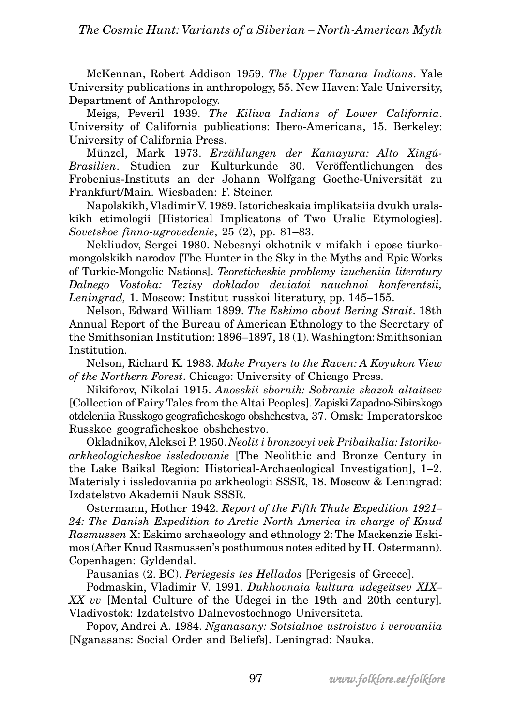McKennan, Robert Addison 1959. *The Upper Tanana Indians*. Yale University publications in anthropology, 55. New Haven: Yale University, Department of Anthropology.

Meigs, Peveril 1939. *The Kiliwa Indians of Lower California*. University of California publications: Ibero-Americana, 15. Berkeley: University of California Press.

Münzel, Mark 1973. *Erzählungen der Kamayura: Alto Xingú-Brasilien*. Studien zur Kulturkunde 30. Veröffentlichungen des Frobenius-Instituts an der Johann Wolfgang Goethe-Universität zu Frankfurt/Main. Wiesbaden: F. Steiner.

Napolskikh, Vladimir V. 1989. Istoricheskaia implikatsiia dvukh uralskikh etimologii [Historical Implicatons of Two Uralic Etymologies]. *Sovetskoe finno-ugrovedenie*, 25 (2), pp. 81–83.

Nekliudov, Sergei 1980. Nebesnyi okhotnik v mifakh i epose tiurkomongolskikh narodov [The Hunter in the Sky in the Myths and Epic Works of Turkic-Mongolic Nations]. *Teoreticheskie problemy izucheniia literatury Dalnego Vostoka: Tezisy dokladov deviatoi nauchnoi konferentsii, Leningrad,* 1. Moscow: Institut russkoi literatury, pp. 145–155.

Nelson, Edward William 1899. *The Eskimo about Bering Strait*. 18th Annual Report of the Bureau of American Ethnology to the Secretary of the Smithsonian Institution: 1896–1897, 18 (1). Washington: Smithsonian Institution.

Nelson, Richard K. 1983. *Make Prayers to the Raven: A Koyukon View of the Northern Forest*. Chicago: University of Chicago Press.

Nikiforov, Nikolai 1915. *Anosskii sbornik: Sobranie skazok altaitsev* [Collection of Fairy Tales from the Altai Peoples]. Zapiski Zapadno-Sibirskogo otdeleniia Russkogo geograficheskogo obshchestva, 37. Omsk: Imperatorskoe Russkoe geograficheskoe obshchestvo.

Okladnikov, Aleksei P. 1950. *Neolit i bronzovyi vek Pribaikalia: Istorikoarkheologicheskoe issledovanie* [The Neolithic and Bronze Century in the Lake Baikal Region: Historical-Archaeological Investigation], 1–2. Materialy i issledovaniia po arkheologii SSSR, 18. Moscow & Leningrad: Izdatelstvo Akademii Nauk SSSR.

Ostermann, Hother 1942. *Report of the Fifth Thule Expedition 1921– 24: The Danish Expedition to Arctic North America in charge of Knud Rasmussen* X: Eskimo archaeology and ethnology 2: The Mackenzie Eskimos (After Knud Rasmussen's posthumous notes edited by H. Ostermann). Copenhagen: Gyldendal.

Pausanias (2. BC). *Periegesis tes Hellados* [Perigesis of Greece].

Podmaskin, Vladimir V. 1991. *Dukhovnaia kultura udegeitsev XIX– XX vv* [Mental Culture of the Udegei in the 19th and 20th century]*.* Vladivostok: Izdatelstvo Dalnevostochnogo Universiteta.

Popov, Andrei A. 1984. *Nganasany: Sotsialnoe ustroistvo i verovaniia* [Nganasans: Social Order and Beliefs]. Leningrad: Nauka.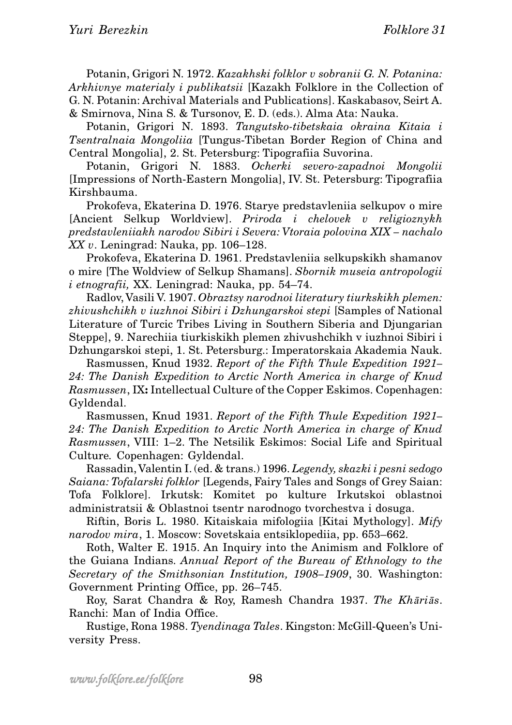Potanin, Grigori N. 1972. *Kazakhski folklor v sobranii G. N. Potanina: Arkhivnye materialy i publikatsii* [Kazakh Folklore in the Collection of G. N. Potanin: Archival Materials and Publications]. Kaskabasov, Seirt A. & Smirnova, Nina S. & Tursonov, E. D. (eds.). Alma Ata: Nauka.

Potanin, Grigori N. 1893. *Tangutsko-tibetskaia okraina Kitaia i Tsentralnaia Mongoliia* [Tungus-Tibetan Border Region of China and Central Mongolia], 2. St. Petersburg: Tipografiia Suvorina.

Potanin, Grigori N. 1883. *Ocherki severo-zapadnoi Mongolii* [Impressions of North-Eastern Mongolia], IV. St. Petersburg: Tipografiia Kirshbauma.

Prokofeva, Ekaterina D. 1976. Starye predstavleniia selkupov o mire [Ancient Selkup Worldview]. *Priroda i chelovek v religioznykh predstavleniiakh narodov Sibiri i Severa: Vtoraia polovina XIX – nachalo XX v*. Leningrad: Nauka, pp. 106–128.

Prokofeva, Ekaterina D. 1961. Predstavleniia selkupskikh shamanov o mire [The Woldview of Selkup Shamans]. *Sbornik museia antropologii i etnografii,* XX. Leningrad: Nauka, pp. 54–74.

Radlov, Vasili V. 1907. *Obraztsy narodnoi literatury tiurkskikh plemen: zhivushchikh v iuzhnoi Sibiri i Dzhungarskoi stepi* [Samples of National Literature of Turcic Tribes Living in Southern Siberia and Djungarian Steppe], 9. Narechiia tiurkiskikh plemen zhivushchikh v iuzhnoi Sibiri i Dzhungarskoi stepi, 1. St. Petersburg.: Imperatorskaia Akademia Nauk.

Rasmussen, Knud 1932. *Report of the Fifth Thule Expedition 1921– 24: The Danish Expedition to Arctic North America in charge of Knud Rasmussen*, IX**:** Intellectual Culture of the Copper Eskimos. Copenhagen: Gyldendal.

Rasmussen, Knud 1931. *Report of the Fifth Thule Expedition 1921– 24: The Danish Expedition to Arctic North America in charge of Knud Rasmussen*, VIII: 1–2. The Netsilik Eskimos: Social Life and Spiritual Culture*.* Copenhagen: Gyldendal.

Rassadin, Valentin I. (ed. & trans.) 1996. *Legendy, skazki i pesni sedogo Saiana: Tofalarski folklor* [Legends, Fairy Tales and Songs of Grey Saian: Tofa Folklore]. Irkutsk: Komitet po kulture Irkutskoi oblastnoi administratsii & Oblastnoi tsentr narodnogo tvorchestva i dosuga.

Riftin, Boris L. 1980. Kitaiskaia mifologiia [Kitai Mythology]. *Mify narodov mira*, 1. Moscow: Sovetskaia entsiklopediia, pp. 653–662.

Roth, Walter E. 1915. An Inquiry into the Animism and Folklore of the Guiana Indians. *Annual Report of the Bureau of Ethnology to the Secretary of the Smithsonian Institution, 1908–1909*, 30. Washington: Government Printing Office, pp. 26–745.

Roy, Sarat Chandra & Roy, Ramesh Chandra 1937. *The Kh*ā*ri*ā*s*. Ranchi: Man of India Office.

Rustige, Rona 1988. *Tyendinaga Tales*. Kingston: McGill-Queen's University Press.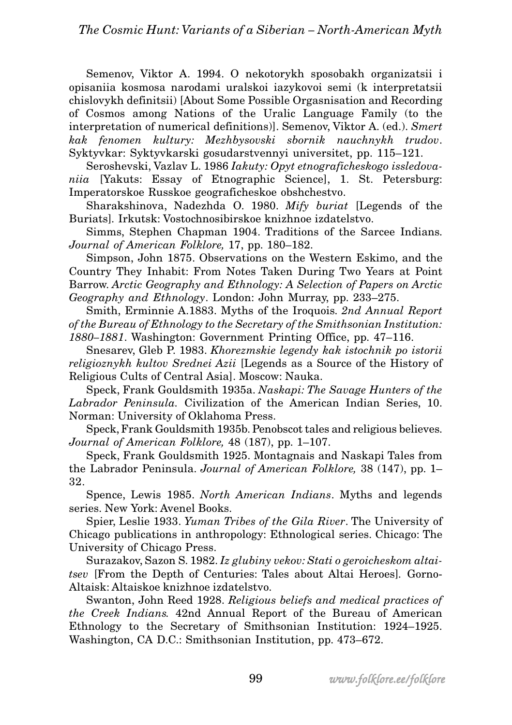Semenov, Viktor A. 1994. O nekotorykh sposobakh organizatsii i opisaniia kosmosa narodami uralskoi iazykovoi semi (k interpretatsii chislovykh definitsii) [About Some Possible Orgasnisation and Recording of Cosmos among Nations of the Uralic Language Family (to the interpretation of numerical definitions)]. Semenov, Viktor A. (ed.). *Smert kak fenomen kultury: Mezhbysovski sbornik nauchnykh trudov*. Syktyvkar: Syktyvkarski gosudarstvennyi universitet, pp. 115–121.

Seroshevski, Vazlav L. 1986 *Iakuty: Opyt etnograficheskogo issledovaniia* [Yakuts: Essay of Etnographic Science], 1. St. Petersburg: Imperatorskoe Russkoe geograficheskoe obshchestvo.

Sharakshinova, Nadezhda O. 1980. *Mify buriat* [Legends of the Buriats]*.* Irkutsk: Vostochnosibirskoe knizhnoe izdatelstvo.

Simms, Stephen Chapman 1904. Traditions of the Sarcee Indians. *Journal of American Folklore,* 17, pp. 180–182.

Simpson, John 1875. Observations on the Western Eskimo, and the Country They Inhabit: From Notes Taken During Two Years at Point Barrow. *Arctic Geography and Ethnology: A Selection of Papers on Arctic Geography and Ethnology*. London: John Murray, pp. 233–275.

Smith, Erminnie A.1883. Myths of the Iroquois. *2nd Annual Report of the Bureau of Ethnology to the Secretary of the Smithsonian Institution: 1880–1881*. Washington: Government Printing Office, pp. 47–116.

Snesarev, Gleb P. 1983. *Khorezmskie legendy kak istochnik po istorii religioznykh kultov Srednei Azii* [Legends as a Source of the History of Religious Cults of Central Asia]. Moscow: Nauka.

Speck, Frank Gouldsmith 1935a. *Naskapi: The Savage Hunters of the Labrador Peninsula.* Civilization of the American Indian Series, 10. Norman: University of Oklahoma Press.

Speck, Frank Gouldsmith 1935b. Penobscot tales and religious believes. *Journal of American Folklore,* 48 (187), pp. 1–107.

Speck, Frank Gouldsmith 1925. Montagnais and Naskapi Tales from the Labrador Peninsula. *Journal of American Folklore,* 38 (147), pp. 1– 32.

Spence, Lewis 1985. *North American Indians*. Myths and legends series. New York: Avenel Books.

Spier, Leslie 1933. *Yuman Tribes of the Gila River*. The University of Chicago publications in anthropology: Ethnological series. Chicago: The University of Chicago Press.

Surazakov, Sazon S. 1982. *Iz glubiny vekov: Stati o geroicheskom altaitsev* [From the Depth of Centuries: Tales about Altai Heroes]*.* Gorno-Altaisk: Altaiskoe knizhnoe izdatelstvo.

Swanton, John Reed 1928. *Religious beliefs and medical practices of the Creek Indians.* 42nd Annual Report of the Bureau of American Ethnology to the Secretary of Smithsonian Institution: 1924–1925. Washington, CA D.C.: Smithsonian Institution, pp. 473–672.